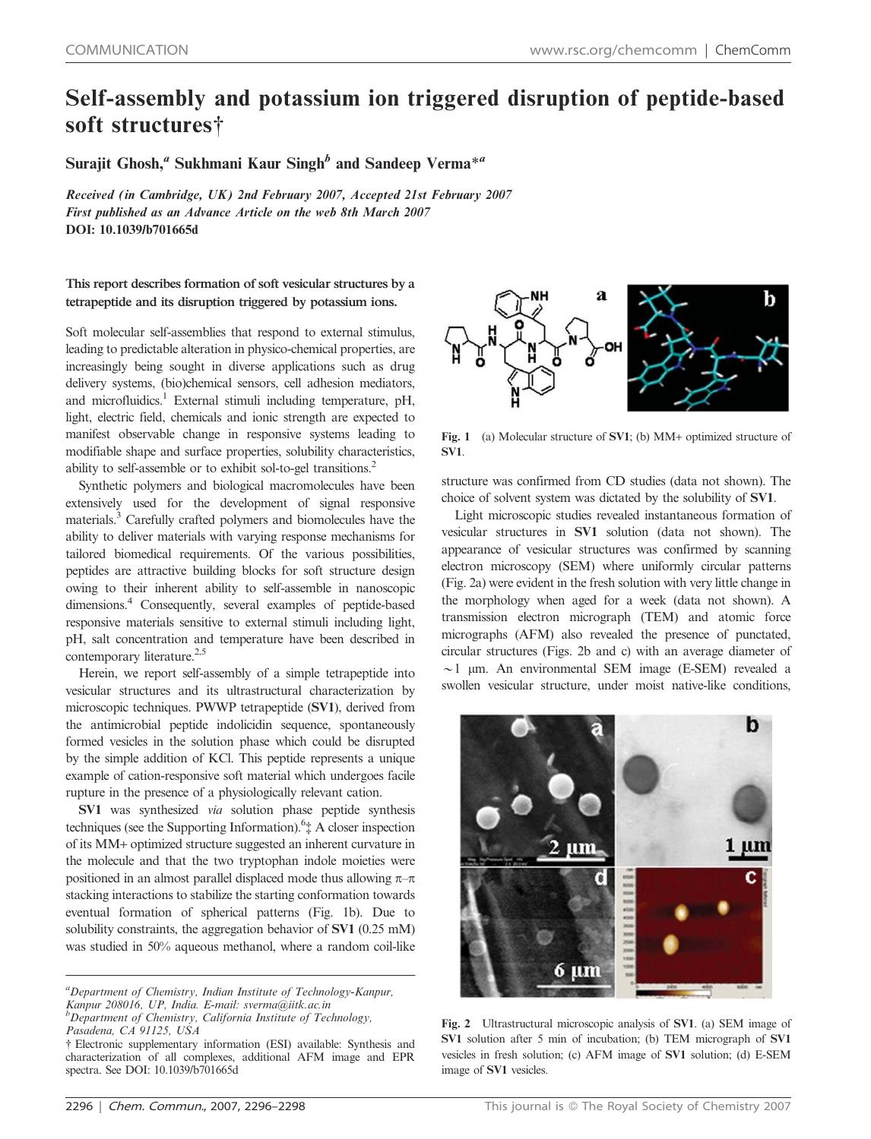## Self-assembly and potassium ion triggered disruption of peptide-based soft structures<sup>†</sup>

Surajit Ghosh, $^a$  Sukhmani Kaur Singh $^b$  and Sandeep Verma $^{\ast a}$ 

Received (in Cambridge, UK) 2nd February 2007, Accepted 21st February 2007 First published as an Advance Article on the web 8th March 2007 DOI: 10.1039/b701665d

This report describes formation of soft vesicular structures by a tetrapeptide and its disruption triggered by potassium ions.

Soft molecular self-assemblies that respond to external stimulus, leading to predictable alteration in physico-chemical properties, are increasingly being sought in diverse applications such as drug delivery systems, (bio)chemical sensors, cell adhesion mediators, and microfluidics.<sup>1</sup> External stimuli including temperature, pH, light, electric field, chemicals and ionic strength are expected to manifest observable change in responsive systems leading to modifiable shape and surface properties, solubility characteristics, ability to self-assemble or to exhibit sol-to-gel transitions.<sup>2</sup>

Synthetic polymers and biological macromolecules have been extensively used for the development of signal responsive materials.<sup>3</sup> Carefully crafted polymers and biomolecules have the ability to deliver materials with varying response mechanisms for tailored biomedical requirements. Of the various possibilities, peptides are attractive building blocks for soft structure design owing to their inherent ability to self-assemble in nanoscopic dimensions.<sup>4</sup> Consequently, several examples of peptide-based responsive materials sensitive to external stimuli including light, pH, salt concentration and temperature have been described in contemporary literature. $2,5$ 

Herein, we report self-assembly of a simple tetrapeptide into vesicular structures and its ultrastructural characterization by microscopic techniques. PWWP tetrapeptide (SV1), derived from the antimicrobial peptide indolicidin sequence, spontaneously formed vesicles in the solution phase which could be disrupted by the simple addition of KCl. This peptide represents a unique example of cation-responsive soft material which undergoes facile rupture in the presence of a physiologically relevant cation.

SV1 was synthesized *via* solution phase peptide synthesis techniques (see the Supporting Information).<sup>6</sup>‡ A closer inspection of its MM+ optimized structure suggested an inherent curvature in the molecule and that the two tryptophan indole moieties were positioned in an almost parallel displaced mode thus allowing  $\pi-\pi$ stacking interactions to stabilize the starting conformation towards eventual formation of spherical patterns (Fig. 1b). Due to solubility constraints, the aggregation behavior of SV1 (0.25 mM) was studied in 50% aqueous methanol, where a random coil-like



Fig. 1 (a) Molecular structure of SV1; (b) MM+ optimized structure of SV1.

structure was confirmed from CD studies (data not shown). The choice of solvent system was dictated by the solubility of SV1.

Light microscopic studies revealed instantaneous formation of vesicular structures in SV1 solution (data not shown). The appearance of vesicular structures was confirmed by scanning electron microscopy (SEM) where uniformly circular patterns (Fig. 2a) were evident in the fresh solution with very little change in the morphology when aged for a week (data not shown). A transmission electron micrograph (TEM) and atomic force micrographs (AFM) also revealed the presence of punctated, circular structures (Figs. 2b and c) with an average diameter of  $\sim$ 1 µm. An environmental SEM image (E-SEM) revealed a swollen vesicular structure, under moist native-like conditions,



Fig. 2 Ultrastructural microscopic analysis of SV1. (a) SEM image of SV1 solution after 5 min of incubation; (b) TEM micrograph of SV1 vesicles in fresh solution; (c) AFM image of SV1 solution; (d) E-SEM image of SV1 vesicles.

*<sup>a</sup>Department of Chemistry, Indian Institute of Technology-Kanpur, Kanpur 208016, UP, India. E-mail: sverma@iitk.ac.in <sup>b</sup>Department of Chemistry, California Institute of Technology,*

*Pasadena, CA 91125, USA*

<sup>{</sup> Electronic supplementary information (ESI) available: Synthesis and characterization of all complexes, additional AFM image and EPR spectra. See DOI: 10.1039/b701665d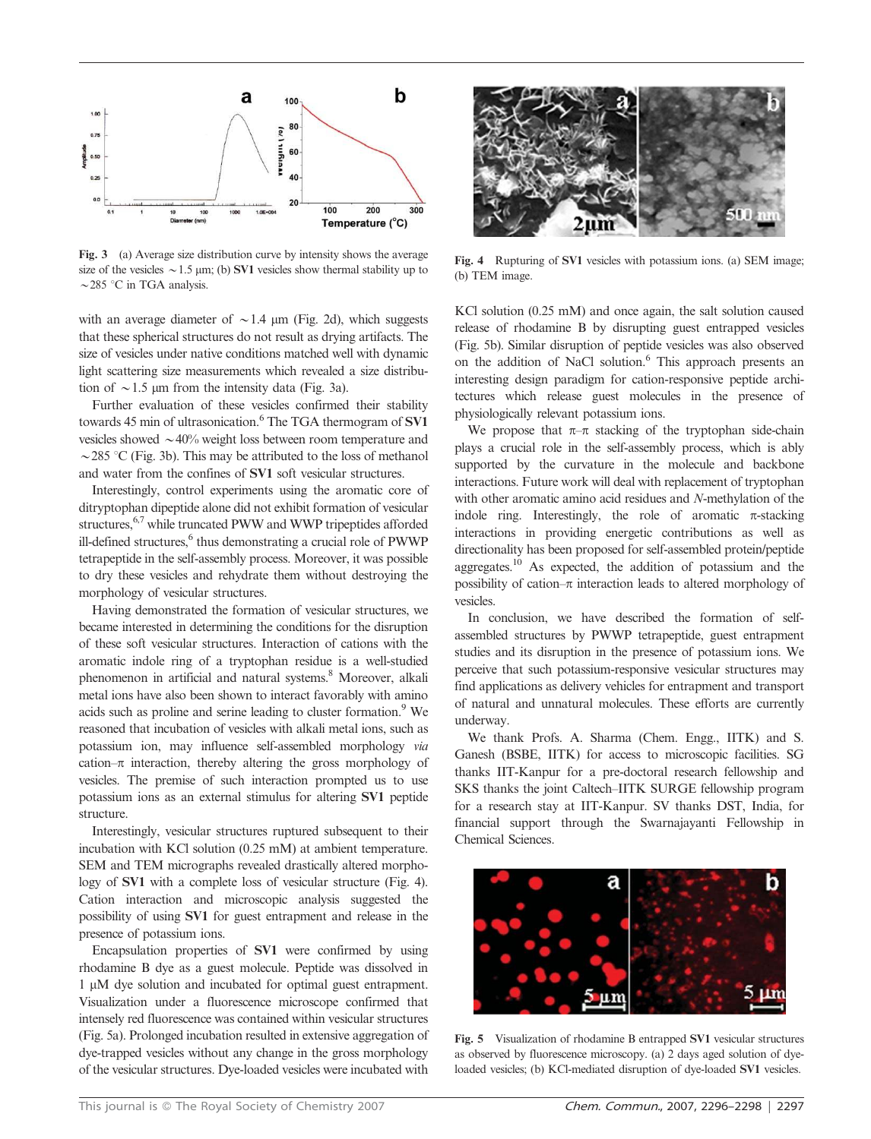

Fig. 3 (a) Average size distribution curve by intensity shows the average size of the vesicles  $\sim$  1.5 µm; (b) SV1 vesicles show thermal stability up to  $\sim$ 285 °C in TGA analysis.

with an average diameter of  $\sim$  1.4 µm (Fig. 2d), which suggests that these spherical structures do not result as drying artifacts. The size of vesicles under native conditions matched well with dynamic light scattering size measurements which revealed a size distribution of  $\sim$  1.5 µm from the intensity data (Fig. 3a).

Further evaluation of these vesicles confirmed their stability towards 45 min of ultrasonication.<sup>6</sup> The TGA thermogram of SV1 vesicles showed  $\sim$  40% weight loss between room temperature and  $\sim$ 285 °C (Fig. 3b). This may be attributed to the loss of methanol and water from the confines of SV1 soft vesicular structures.

Interestingly, control experiments using the aromatic core of ditryptophan dipeptide alone did not exhibit formation of vesicular structures,<sup>6,7</sup> while truncated PWW and WWP tripeptides afforded ill-defined structures,<sup>6</sup> thus demonstrating a crucial role of PWWP tetrapeptide in the self-assembly process. Moreover, it was possible to dry these vesicles and rehydrate them without destroying the morphology of vesicular structures.

Having demonstrated the formation of vesicular structures, we became interested in determining the conditions for the disruption of these soft vesicular structures. Interaction of cations with the aromatic indole ring of a tryptophan residue is a well-studied phenomenon in artificial and natural systems.<sup>8</sup> Moreover, alkali metal ions have also been shown to interact favorably with amino acids such as proline and serine leading to cluster formation.<sup>9</sup> We reasoned that incubation of vesicles with alkali metal ions, such as potassium ion, may influence self-assembled morphology *via* cation– $\pi$  interaction, thereby altering the gross morphology of vesicles. The premise of such interaction prompted us to use potassium ions as an external stimulus for altering SV1 peptide structure.

Interestingly, vesicular structures ruptured subsequent to their incubation with KCl solution (0.25 mM) at ambient temperature. SEM and TEM micrographs revealed drastically altered morphology of SV1 with a complete loss of vesicular structure (Fig. 4). Cation interaction and microscopic analysis suggested the possibility of using SV1 for guest entrapment and release in the presence of potassium ions.

Encapsulation properties of SV1 were confirmed by using rhodamine B dye as a guest molecule. Peptide was dissolved in 1  $\mu$ M dye solution and incubated for optimal guest entrapment. Visualization under a fluorescence microscope confirmed that intensely red fluorescence was contained within vesicular structures (Fig. 5a). Prolonged incubation resulted in extensive aggregation of dye-trapped vesicles without any change in the gross morphology of the vesicular structures. Dye-loaded vesicles were incubated with



Fig. 4 Rupturing of SV1 vesicles with potassium ions. (a) SEM image; (b) TEM image.

KCl solution (0.25 mM) and once again, the salt solution caused release of rhodamine B by disrupting guest entrapped vesicles (Fig. 5b). Similar disruption of peptide vesicles was also observed on the addition of NaCl solution.<sup>6</sup> This approach presents an interesting design paradigm for cation-responsive peptide architectures which release guest molecules in the presence of physiologically relevant potassium ions.

We propose that  $\pi-\pi$  stacking of the tryptophan side-chain plays a crucial role in the self-assembly process, which is ably supported by the curvature in the molecule and backbone interactions. Future work will deal with replacement of tryptophan with other aromatic amino acid residues and *N*-methylation of the indole ring. Interestingly, the role of aromatic  $\pi$ -stacking interactions in providing energetic contributions as well as directionality has been proposed for self-assembled protein/peptide aggregates.<sup>10</sup> As expected, the addition of potassium and the possibility of cation– $\pi$  interaction leads to altered morphology of vesicles.

In conclusion, we have described the formation of selfassembled structures by PWWP tetrapeptide, guest entrapment studies and its disruption in the presence of potassium ions. We perceive that such potassium-responsive vesicular structures may find applications as delivery vehicles for entrapment and transport of natural and unnatural molecules. These efforts are currently underway.

We thank Profs. A. Sharma (Chem. Engg., IITK) and S. Ganesh (BSBE, IITK) for access to microscopic facilities. SG thanks IIT-Kanpur for a pre-doctoral research fellowship and SKS thanks the joint Caltech–IITK SURGE fellowship program for a research stay at IIT-Kanpur. SV thanks DST, India, for financial support through the Swarnajayanti Fellowship in Chemical Sciences.



Fig. 5 Visualization of rhodamine B entrapped SV1 vesicular structures as observed by fluorescence microscopy. (a) 2 days aged solution of dyeloaded vesicles; (b) KCl-mediated disruption of dye-loaded SV1 vesicles.